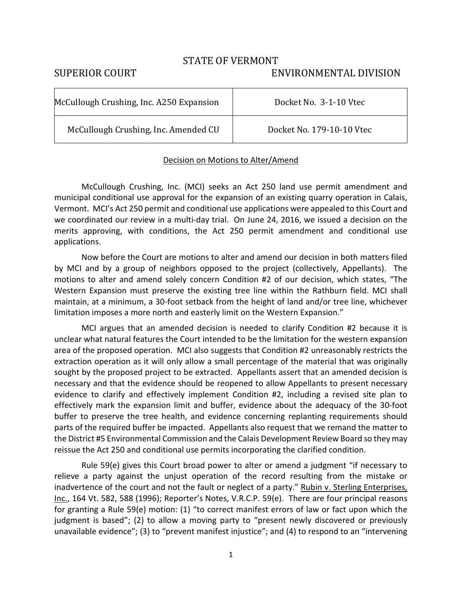## STATE OF VERMONT

## SUPERIOR COURT ENVIRONMENTAL DIVISION

| McCullough Crushing, Inc. A250 Expansion | Docket No. 3-1-10 Vtec    |
|------------------------------------------|---------------------------|
| McCullough Crushing, Inc. Amended CU     | Docket No. 179-10-10 Vtec |

## Decision on Motions to Alter/Amend

 McCullough Crushing, Inc. (MCI) seeks an Act 250 land use permit amendment and municipal conditional use approval for the expansion of an existing quarry operation in Calais, Vermont. MCI's Act 250 permit and conditional use applications were appealed to this Court and we coordinated our review in a multi-day trial. On June 24, 2016, we issued a decision on the merits approving, with conditions, the Act 250 permit amendment and conditional use applications.

Now before the Court are motions to alter and amend our decision in both matters filed by MCI and by a group of neighbors opposed to the project (collectively, Appellants). The motions to alter and amend solely concern Condition #2 of our decision, which states, "The Western Expansion must preserve the existing tree line within the Rathburn field. MCI shall maintain, at a minimum, a 30-foot setback from the height of land and/or tree line, whichever limitation imposes a more north and easterly limit on the Western Expansion."

MCI argues that an amended decision is needed to clarify Condition #2 because it is unclear what natural features the Court intended to be the limitation for the western expansion area of the proposed operation. MCI also suggests that Condition #2 unreasonably restricts the extraction operation as it will only allow a small percentage of the material that was originally sought by the proposed project to be extracted. Appellants assert that an amended decision is necessary and that the evidence should be reopened to allow Appellants to present necessary evidence to clarify and effectively implement Condition #2, including a revised site plan to effectively mark the expansion limit and buffer, evidence about the adequacy of the 30-foot buffer to preserve the tree health, and evidence concerning replanting requirements should parts of the required buffer be impacted. Appellants also request that we remand the matter to the District #5 Environmental Commission and the Calais Development Review Board so they may reissue the Act 250 and conditional use permits incorporating the clarified condition.

Rule 59(e) gives this Court broad power to alter or amend a judgment "if necessary to relieve a party against the unjust operation of the record resulting from the mistake or inadvertence of the court and not the fault or neglect of a party." Rubin v. Sterling Enterprises, Inc., 164 Vt. 582, 588 (1996); Reporter's Notes, V.R.C.P. 59(e). There are four principal reasons for granting a Rule 59(e) motion: (1) "to correct manifest errors of law or fact upon which the judgment is based"; (2) to allow a moving party to "present newly discovered or previously unavailable evidence"; (3) to "prevent manifest injustice"; and (4) to respond to an "intervening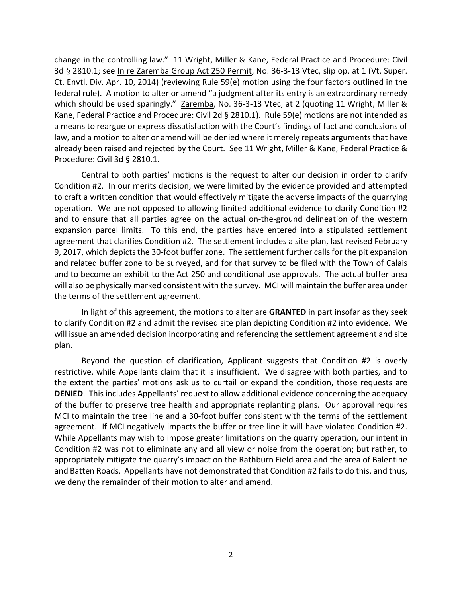change in the controlling law." 11 Wright, Miller & Kane, Federal Practice and Procedure: Civil 3d § 2810.1; see In re Zaremba Group Act 250 Permit, No. 36-3-13 Vtec, slip op. at 1 (Vt. Super. Ct. Envtl. Div. Apr. 10, 2014) (reviewing Rule 59(e) motion using the four factors outlined in the federal rule). A motion to alter or amend "a judgment after its entry is an extraordinary remedy which should be used sparingly." Zaremba, No. 36-3-13 Vtec, at 2 (quoting 11 Wright, Miller & Kane, Federal Practice and Procedure: Civil 2d § 2810.1). Rule 59(e) motions are not intended as a means to reargue or express dissatisfaction with the Court's findings of fact and conclusions of law, and a motion to alter or amend will be denied where it merely repeats arguments that have already been raised and rejected by the Court. See 11 Wright, Miller & Kane, Federal Practice & Procedure: Civil 3d § 2810.1.

Central to both parties' motions is the request to alter our decision in order to clarify Condition #2. In our merits decision, we were limited by the evidence provided and attempted to craft a written condition that would effectively mitigate the adverse impacts of the quarrying operation. We are not opposed to allowing limited additional evidence to clarify Condition #2 and to ensure that all parties agree on the actual on-the-ground delineation of the western expansion parcel limits. To this end, the parties have entered into a stipulated settlement agreement that clarifies Condition #2. The settlement includes a site plan, last revised February 9, 2017, which depicts the 30-foot buffer zone. The settlement further calls for the pit expansion and related buffer zone to be surveyed, and for that survey to be filed with the Town of Calais and to become an exhibit to the Act 250 and conditional use approvals. The actual buffer area will also be physically marked consistent with the survey. MCI will maintain the buffer area under the terms of the settlement agreement.

In light of this agreement, the motions to alter are **GRANTED** in part insofar as they seek to clarify Condition #2 and admit the revised site plan depicting Condition #2 into evidence. We will issue an amended decision incorporating and referencing the settlement agreement and site plan.

 Beyond the question of clarification, Applicant suggests that Condition #2 is overly restrictive, while Appellants claim that it is insufficient. We disagree with both parties, and to the extent the parties' motions ask us to curtail or expand the condition, those requests are **DENIED**. This includes Appellants' request to allow additional evidence concerning the adequacy of the buffer to preserve tree health and appropriate replanting plans. Our approval requires MCI to maintain the tree line and a 30-foot buffer consistent with the terms of the settlement agreement. If MCI negatively impacts the buffer or tree line it will have violated Condition #2. While Appellants may wish to impose greater limitations on the quarry operation, our intent in Condition #2 was not to eliminate any and all view or noise from the operation; but rather, to appropriately mitigate the quarry's impact on the Rathburn Field area and the area of Balentine and Batten Roads. Appellants have not demonstrated that Condition #2 fails to do this, and thus, we deny the remainder of their motion to alter and amend.